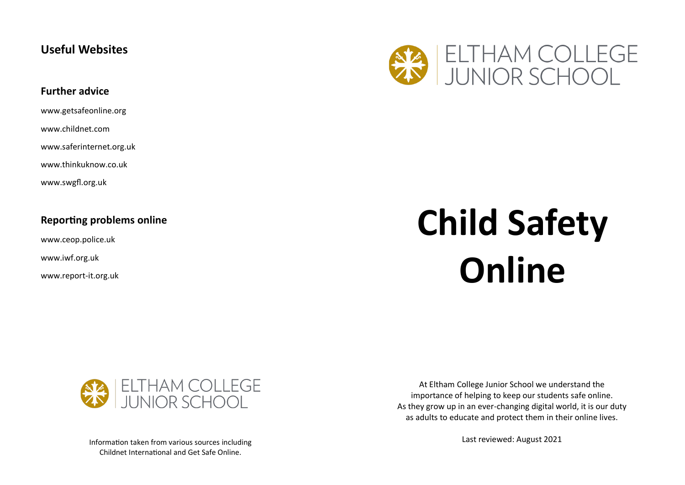## **Useful Websites**

## **Further advice**

www.getsafeonline.org

www.childnet.com

www.saferinternet.org.uk

www.thinkuknow.co.uk

www.swgfl.org.uk

## **Reporting problems online**

www.ceop.police.uk

www.iwf.org.uk

www.report-it.org.uk

# ELTHAM COLLEGE<br>JUNIOR SCHOOL

## **Child Safety Online**



Information taken from various sources including Childnet International and Get Safe Online.

At Eltham College Junior School we understand the importance of helping to keep our students safe online. As they grow up in an ever-changing digital world, it is our duty as adults to educate and protect them in their online lives.

Last reviewed: August 2021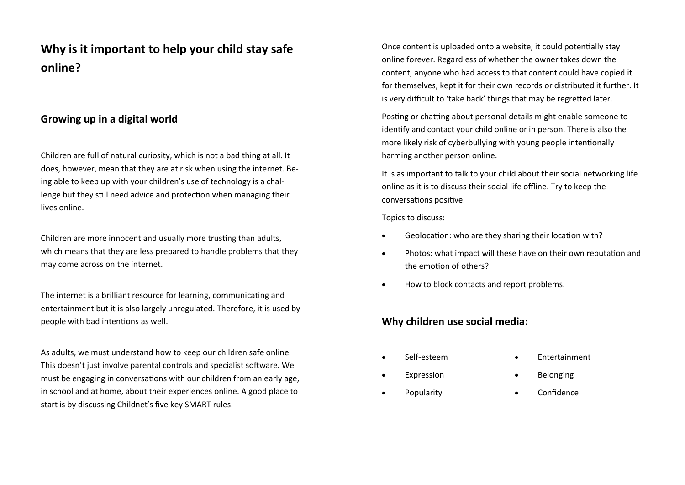## **Why is it important to help your child stay safe online?**

## **Growing up in a digital world**

Children are full of natural curiosity, which is not a bad thing at all. It does, however, mean that they are at risk when using the internet. Being able to keep up with your children's use of technology is a challenge but they still need advice and protection when managing their lives online.

Children are more innocent and usually more trusting than adults, which means that they are less prepared to handle problems that they may come across on the internet.

The internet is a brilliant resource for learning, communicating and entertainment but it is also largely unregulated. Therefore, it is used by people with bad intentions as well.

As adults, we must understand how to keep our children safe online. This doesn't just involve parental controls and specialist software. We must be engaging in conversations with our children from an early age, in school and at home, about their experiences online. A good place to start is by discussing Childnet's five key SMART rules.

Once content is uploaded onto a website, it could potentially stay online forever. Regardless of whether the owner takes down the content, anyone who had access to that content could have copied it for themselves, kept it for their own records or distributed it further. It is very difficult to 'take back' things that may be regretted later.

Posting or chatting about personal details might enable someone to identify and contact your child online or in person. There is also the more likely risk of cyberbullying with young people intentionally harming another person online.

It is as important to talk to your child about their social networking life online as it is to discuss their social life offline. Try to keep the conversations positive.

Topics to discuss:

- Geolocation: who are they sharing their location with?
- Photos: what impact will these have on their own reputation and the emotion of others?
- How to block contacts and report problems.

## **Why children use social media:**

• Self-esteem

**Expression** 

- **Entertainment**
- Belonging
- **Popularity** • Confidence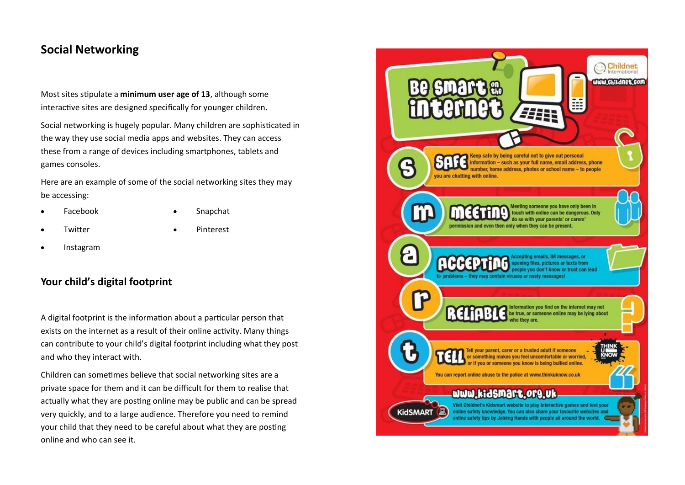## **Social Networking**

Most sites stipulate a **minimum user age of 13**, although some interactive sites are designed specifically for younger children.

Social networking is hugely popular. Many children are sophisticated in the way they use social media apps and websites. They can access these from a range of devices including smartphones, tablets and games consoles.

Here are an example of some of the social networking sites they may be accessing:

• Facebook

• Snapchat

**Twitter** 

• Pinterest

 • Instagram

## **Your child's digital footprint**

A digital footprint is the information about a particular person that exists on the internet as a result of their online activity. Many things can contribute to your child's digital footprint including what they post and who they interact with.

Children can sometimes believe that social networking sites are a private space for them and it can be difficult for them to realise that actually what they are posting online may be public and can be spread very quickly, and to a large audience. Therefore you need to remind your child that they need to be careful about what they are posting online and who can see it.

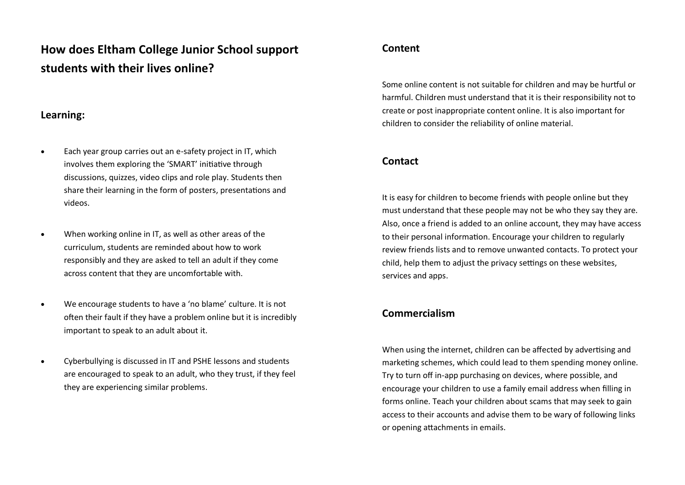## **How does Eltham College Junior School support students with their lives online?**

## **Learning:**

- Each year group carries out an e-safety project in IT, which involves them exploring the 'SMART' initiative through discussions, quizzes, video clips and role play. Students then share their learning in the form of posters, presentations and videos.
- When working online in IT, as well as other areas of the curriculum, students are reminded about how to work responsibly and they are asked to tell an adult if they come across content that they are uncomfortable with.
- We encourage students to have a 'no blame' culture. It is not often their fault if they have a problem online but it is incredibly important to speak to an adult about it.
- Cyberbullying is discussed in IT and PSHE lessons and students are encouraged to speak to an adult, who they trust, if they feel they are experiencing similar problems.

## **Content**

Some online content is not suitable for children and may be hurtful or harmful. Children must understand that it is their responsibility not to create or post inappropriate content online. It is also important for children to consider the reliability of online material.

## **Contact**

It is easy for children to become friends with people online but they must understand that these people may not be who they say they are. Also, once a friend is added to an online account, they may have access to their personal information. Encourage your children to regularly review friends lists and to remove unwanted contacts. To protect your child, help them to adjust the privacy settings on these websites, services and apps.

## **Commercialism**

When using the internet, children can be affected by advertising and marketing schemes, which could lead to them spending money online. Try to turn off in-app purchasing on devices, where possible, and encourage your children to use a family email address when filling in forms online. Teach your children about scams that may seek to gain access to their accounts and advise them to be wary of following links or opening attachments in emails.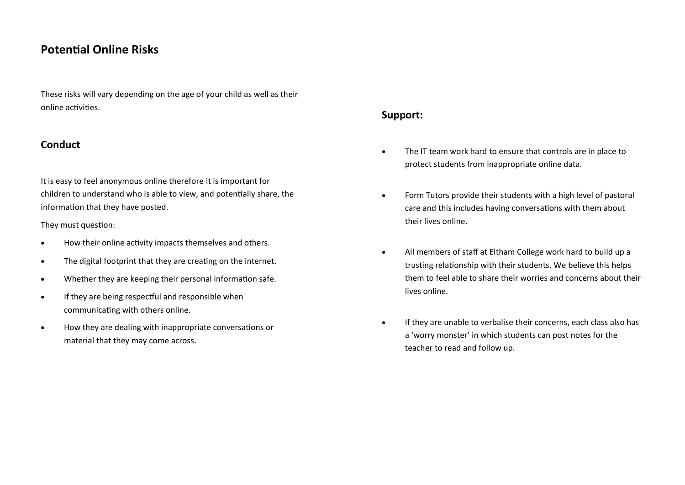## **Potential Online Risks**

These risks will vary depending on the age of your child as well as their online activities.

## **Conduct**

It is easy to feel anonymous online therefore it is important for children to understand who is able to view, and potentially share, the information that they have posted.

They must question:

- How their online activity impacts themselves and others.
- The digital footprint that they are creating on the internet.
- Whether they are keeping their personal information safe.
- If they are being respectful and responsible when communicating with others online.
- How they are dealing with inappropriate conversations or material that they may come across.

## **Support:**

- The IT team work hard to ensure that controls are in place to protect students from inappropriate online data.
- Form Tutors provide their students with a high level of pastoral care and this includes having conversations with them about their lives online.
- All members of staff at Eltham College work hard to build up a trusting relationship with their students. We believe this helps them to feel able to share their worries and concerns about their lives online.
- If they are unable to verbalise their concerns, each class also has a 'worry monster' in which students can post notes for the teacher to read and follow up.